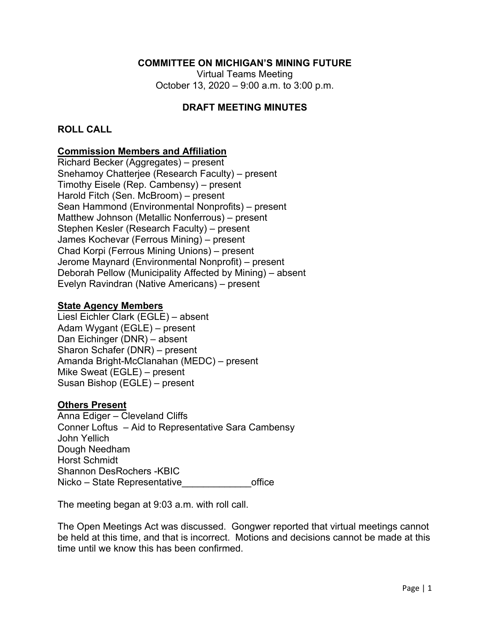### **COMMITTEE ON MICHIGAN'S MINING FUTURE**

Virtual Teams Meeting October 13, 2020 – 9:00 a.m. to 3:00 p.m.

### **DRAFT MEETING MINUTES**

### **ROLL CALL**

### **Commission Members and Affiliation**

Richard Becker (Aggregates) – present Snehamoy Chatterjee (Research Faculty) – present Timothy Eisele (Rep. Cambensy) – present Harold Fitch (Sen. McBroom) – present Sean Hammond (Environmental Nonprofits) – present Matthew Johnson (Metallic Nonferrous) – present Stephen Kesler (Research Faculty) – present James Kochevar (Ferrous Mining) – present Chad Korpi (Ferrous Mining Unions) – present Jerome Maynard (Environmental Nonprofit) – present Deborah Pellow (Municipality Affected by Mining) – absent Evelyn Ravindran (Native Americans) – present

#### **State Agency Members**

Liesl Eichler Clark (EGLE) – absent Adam Wygant (EGLE) – present Dan Eichinger (DNR) – absent Sharon Schafer (DNR) – present Amanda Bright-McClanahan (MEDC) – present Mike Sweat (EGLE) – present Susan Bishop (EGLE) – present

### **Others Present**

Anna Ediger – Cleveland Cliffs Conner Loftus – Aid to Representative Sara Cambensy John Yellich Dough Needham Horst Schmidt Shannon DesRochers -KBIC Nicko – State Representative and a series office

The meeting began at 9:03 a.m. with roll call.

The Open Meetings Act was discussed. Gongwer reported that virtual meetings cannot be held at this time, and that is incorrect. Motions and decisions cannot be made at this time until we know this has been confirmed.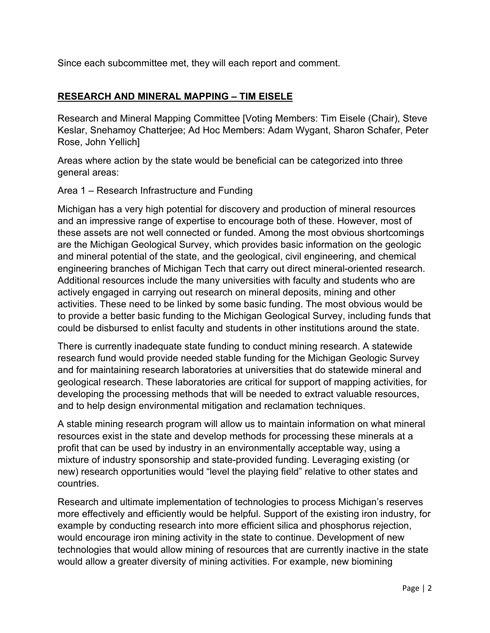Since each subcommittee met, they will each report and comment.

# **RESEARCH AND MINERAL MAPPING – TIM EISELE**

Research and Mineral Mapping Committee [Voting Members: Tim Eisele (Chair), Steve Keslar, Snehamoy Chatterjee; Ad Hoc Members: Adam Wygant, Sharon Schafer, Peter Rose, John Yellich]

Areas where action by the state would be beneficial can be categorized into three general areas:

# Area 1 – Research Infrastructure and Funding

Michigan has a very high potential for discovery and production of mineral resources and an impressive range of expertise to encourage both of these. However, most of these assets are not well connected or funded. Among the most obvious shortcomings are the Michigan Geological Survey, which provides basic information on the geologic and mineral potential of the state, and the geological, civil engineering, and chemical engineering branches of Michigan Tech that carry out direct mineral-oriented research. Additional resources include the many universities with faculty and students who are actively engaged in carrying out research on mineral deposits, mining and other activities. These need to be linked by some basic funding. The most obvious would be to provide a better basic funding to the Michigan Geological Survey, including funds that could be disbursed to enlist faculty and students in other institutions around the state.

There is currently inadequate state funding to conduct mining research. A statewide research fund would provide needed stable funding for the Michigan Geologic Survey and for maintaining research laboratories at universities that do statewide mineral and geological research. These laboratories are critical for support of mapping activities, for developing the processing methods that will be needed to extract valuable resources, and to help design environmental mitigation and reclamation techniques.

A stable mining research program will allow us to maintain information on what mineral resources exist in the state and develop methods for processing these minerals at a profit that can be used by industry in an environmentally acceptable way, using a mixture of industry sponsorship and state-provided funding. Leveraging existing (or new) research opportunities would "level the playing field" relative to other states and countries.

Research and ultimate implementation of technologies to process Michigan's reserves more effectively and efficiently would be helpful. Support of the existing iron industry, for example by conducting research into more efficient silica and phosphorus rejection, would encourage iron mining activity in the state to continue. Development of new technologies that would allow mining of resources that are currently inactive in the state would allow a greater diversity of mining activities. For example, new biomining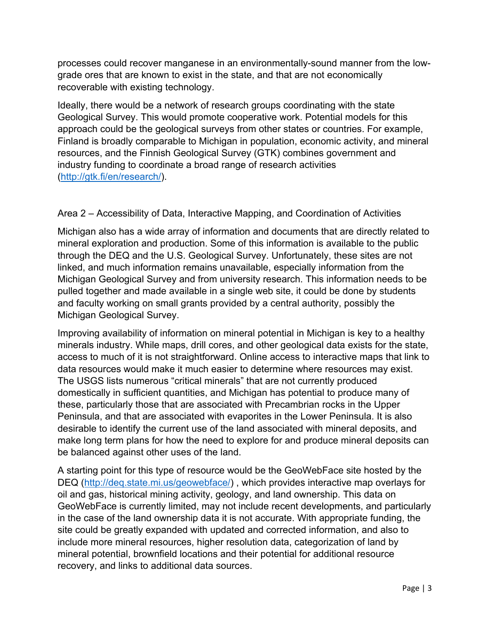processes could recover manganese in an environmentally-sound manner from the lowgrade ores that are known to exist in the state, and that are not economically recoverable with existing technology.

Ideally, there would be a network of research groups coordinating with the state Geological Survey. This would promote cooperative work. Potential models for this approach could be the geological surveys from other states or countries. For example, Finland is broadly comparable to Michigan in population, economic activity, and mineral resources, and the Finnish Geological Survey (GTK) combines government and industry funding to coordinate a broad range of research activities (http://gtk.fi/en/research/).

# Area 2 – Accessibility of Data, Interactive Mapping, and Coordination of Activities

Michigan also has a wide array of information and documents that are directly related to mineral exploration and production. Some of this information is available to the public through the DEQ and the U.S. Geological Survey. Unfortunately, these sites are not linked, and much information remains unavailable, especially information from the Michigan Geological Survey and from university research. This information needs to be pulled together and made available in a single web site, it could be done by students and faculty working on small grants provided by a central authority, possibly the Michigan Geological Survey.

Improving availability of information on mineral potential in Michigan is key to a healthy minerals industry. While maps, drill cores, and other geological data exists for the state, access to much of it is not straightforward. Online access to interactive maps that link to data resources would make it much easier to determine where resources may exist. The USGS lists numerous "critical minerals" that are not currently produced domestically in sufficient quantities, and Michigan has potential to produce many of these, particularly those that are associated with Precambrian rocks in the Upper Peninsula, and that are associated with evaporites in the Lower Peninsula. It is also desirable to identify the current use of the land associated with mineral deposits, and make long term plans for how the need to explore for and produce mineral deposits can be balanced against other uses of the land.

A starting point for this type of resource would be the GeoWebFace site hosted by the DEQ (http://deq.state.mi.us/geowebface/) , which provides interactive map overlays for oil and gas, historical mining activity, geology, and land ownership. This data on GeoWebFace is currently limited, may not include recent developments, and particularly in the case of the land ownership data it is not accurate. With appropriate funding, the site could be greatly expanded with updated and corrected information, and also to include more mineral resources, higher resolution data, categorization of land by mineral potential, brownfield locations and their potential for additional resource recovery, and links to additional data sources.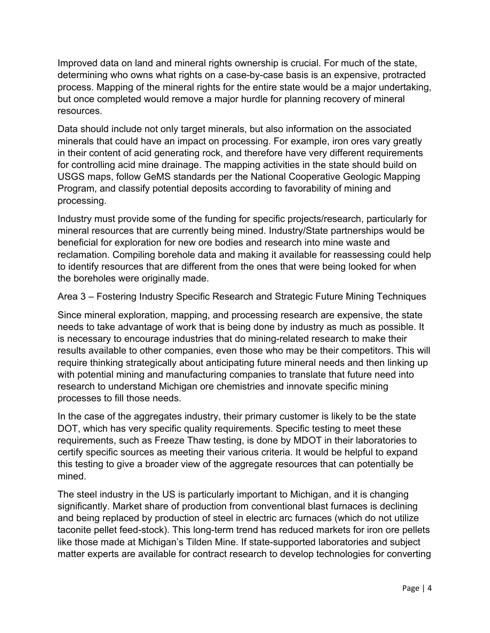Improved data on land and mineral rights ownership is crucial. For much of the state, determining who owns what rights on a case-by-case basis is an expensive, protracted process. Mapping of the mineral rights for the entire state would be a major undertaking, but once completed would remove a major hurdle for planning recovery of mineral resources.

Data should include not only target minerals, but also information on the associated minerals that could have an impact on processing. For example, iron ores vary greatly in their content of acid generating rock, and therefore have very different requirements for controlling acid mine drainage. The mapping activities in the state should build on USGS maps, follow GeMS standards per the National Cooperative Geologic Mapping Program, and classify potential deposits according to favorability of mining and processing.

Industry must provide some of the funding for specific projects/research, particularly for mineral resources that are currently being mined. Industry/State partnerships would be beneficial for exploration for new ore bodies and research into mine waste and reclamation. Compiling borehole data and making it available for reassessing could help to identify resources that are different from the ones that were being looked for when the boreholes were originally made.

Area 3 – Fostering Industry Specific Research and Strategic Future Mining Techniques

Since mineral exploration, mapping, and processing research are expensive, the state needs to take advantage of work that is being done by industry as much as possible. It is necessary to encourage industries that do mining-related research to make their results available to other companies, even those who may be their competitors. This will require thinking strategically about anticipating future mineral needs and then linking up with potential mining and manufacturing companies to translate that future need into research to understand Michigan ore chemistries and innovate specific mining processes to fill those needs.

In the case of the aggregates industry, their primary customer is likely to be the state DOT, which has very specific quality requirements. Specific testing to meet these requirements, such as Freeze Thaw testing, is done by MDOT in their laboratories to certify specific sources as meeting their various criteria. It would be helpful to expand this testing to give a broader view of the aggregate resources that can potentially be mined.

The steel industry in the US is particularly important to Michigan, and it is changing significantly. Market share of production from conventional blast furnaces is declining and being replaced by production of steel in electric arc furnaces (which do not utilize taconite pellet feed-stock). This long-term trend has reduced markets for iron ore pellets like those made at Michigan's Tilden Mine. If state-supported laboratories and subject matter experts are available for contract research to develop technologies for converting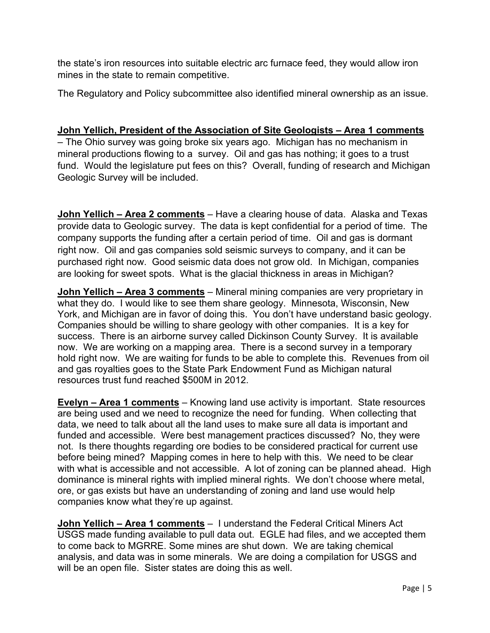the state's iron resources into suitable electric arc furnace feed, they would allow iron mines in the state to remain competitive.

The Regulatory and Policy subcommittee also identified mineral ownership as an issue.

# **John Yellich, President of the Association of Site Geologists – Area 1 comments**

– The Ohio survey was going broke six years ago. Michigan has no mechanism in mineral productions flowing to a survey. Oil and gas has nothing; it goes to a trust fund. Would the legislature put fees on this? Overall, funding of research and Michigan Geologic Survey will be included.

**John Yellich – Area 2 comments** – Have a clearing house of data. Alaska and Texas provide data to Geologic survey. The data is kept confidential for a period of time. The company supports the funding after a certain period of time. Oil and gas is dormant right now. Oil and gas companies sold seismic surveys to company, and it can be purchased right now. Good seismic data does not grow old. In Michigan, companies are looking for sweet spots. What is the glacial thickness in areas in Michigan?

**John Yellich – Area 3 comments** – Mineral mining companies are very proprietary in what they do. I would like to see them share geology. Minnesota, Wisconsin, New York, and Michigan are in favor of doing this. You don't have understand basic geology. Companies should be willing to share geology with other companies. It is a key for success. There is an airborne survey called Dickinson County Survey. It is available now. We are working on a mapping area. There is a second survey in a temporary hold right now. We are waiting for funds to be able to complete this. Revenues from oil and gas royalties goes to the State Park Endowment Fund as Michigan natural resources trust fund reached \$500M in 2012.

**Evelyn – Area 1 comments** – Knowing land use activity is important. State resources are being used and we need to recognize the need for funding. When collecting that data, we need to talk about all the land uses to make sure all data is important and funded and accessible. Were best management practices discussed? No, they were not. Is there thoughts regarding ore bodies to be considered practical for current use before being mined? Mapping comes in here to help with this. We need to be clear with what is accessible and not accessible. A lot of zoning can be planned ahead. High dominance is mineral rights with implied mineral rights. We don't choose where metal, ore, or gas exists but have an understanding of zoning and land use would help companies know what they're up against.

**John Yellich - Area 1 comments** - I understand the Federal Critical Miners Act USGS made funding available to pull data out. EGLE had files, and we accepted them to come back to MGRRE. Some mines are shut down. We are taking chemical analysis, and data was in some minerals. We are doing a compilation for USGS and will be an open file. Sister states are doing this as well.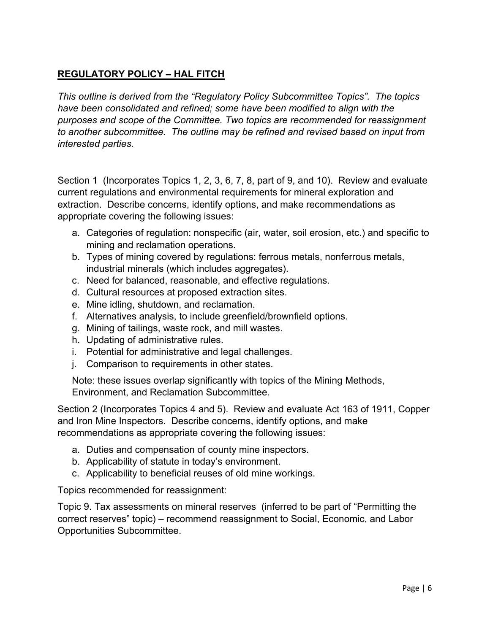# **REGULATORY POLICY – HAL FITCH**

*This outline is derived from the "Regulatory Policy Subcommittee Topics". The topics have been consolidated and refined; some have been modified to align with the purposes and scope of the Committee. Two topics are recommended for reassignment to another subcommittee. The outline may be refined and revised based on input from interested parties.* 

Section 1 (Incorporates Topics 1, 2, 3, 6, 7, 8, part of 9, and 10). Review and evaluate current regulations and environmental requirements for mineral exploration and extraction. Describe concerns, identify options, and make recommendations as appropriate covering the following issues:

- a. Categories of regulation: nonspecific (air, water, soil erosion, etc.) and specific to mining and reclamation operations.
- b. Types of mining covered by regulations: ferrous metals, nonferrous metals, industrial minerals (which includes aggregates).
- c. Need for balanced, reasonable, and effective regulations.
- d. Cultural resources at proposed extraction sites.
- e. Mine idling, shutdown, and reclamation.
- f. Alternatives analysis, to include greenfield/brownfield options.
- g. Mining of tailings, waste rock, and mill wastes.
- h. Updating of administrative rules.
- i. Potential for administrative and legal challenges.
- j. Comparison to requirements in other states.

Note: these issues overlap significantly with topics of the Mining Methods, Environment, and Reclamation Subcommittee.

Section 2 (Incorporates Topics 4 and 5). Review and evaluate Act 163 of 1911, Copper and Iron Mine Inspectors. Describe concerns, identify options, and make recommendations as appropriate covering the following issues:

- a. Duties and compensation of county mine inspectors.
- b. Applicability of statute in today's environment.
- c. Applicability to beneficial reuses of old mine workings.

Topics recommended for reassignment:

Topic 9. Tax assessments on mineral reserves (inferred to be part of "Permitting the correct reserves" topic) – recommend reassignment to Social, Economic, and Labor Opportunities Subcommittee.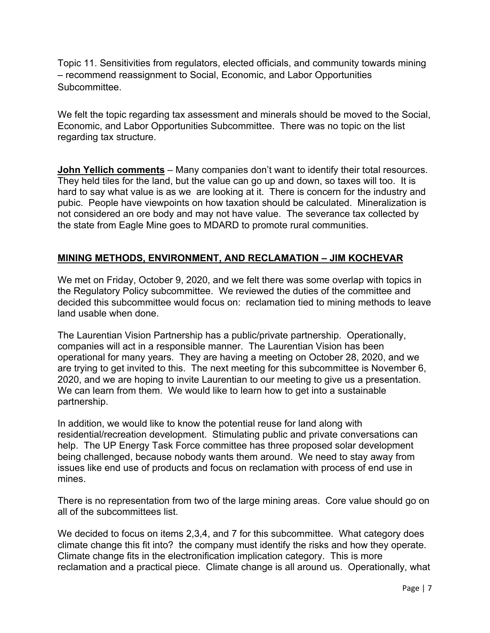Topic 11. Sensitivities from regulators, elected officials, and community towards mining – recommend reassignment to Social, Economic, and Labor Opportunities Subcommittee.

We felt the topic regarding tax assessment and minerals should be moved to the Social, Economic, and Labor Opportunities Subcommittee. There was no topic on the list regarding tax structure.

**John Yellich comments** – Many companies don't want to identify their total resources. They held tiles for the land, but the value can go up and down, so taxes will too. It is hard to say what value is as we are looking at it. There is concern for the industry and pubic. People have viewpoints on how taxation should be calculated. Mineralization is not considered an ore body and may not have value. The severance tax collected by the state from Eagle Mine goes to MDARD to promote rural communities.

# **MINING METHODS, ENVIRONMENT, AND RECLAMATION – JIM KOCHEVAR**

We met on Friday, October 9, 2020, and we felt there was some overlap with topics in the Regulatory Policy subcommittee. We reviewed the duties of the committee and decided this subcommittee would focus on: reclamation tied to mining methods to leave land usable when done.

The Laurentian Vision Partnership has a public/private partnership. Operationally, companies will act in a responsible manner. The Laurentian Vision has been operational for many years. They are having a meeting on October 28, 2020, and we are trying to get invited to this. The next meeting for this subcommittee is November 6, 2020, and we are hoping to invite Laurentian to our meeting to give us a presentation. We can learn from them. We would like to learn how to get into a sustainable partnership.

In addition, we would like to know the potential reuse for land along with residential/recreation development. Stimulating public and private conversations can help. The UP Energy Task Force committee has three proposed solar development being challenged, because nobody wants them around. We need to stay away from issues like end use of products and focus on reclamation with process of end use in mines.

There is no representation from two of the large mining areas. Core value should go on all of the subcommittees list.

We decided to focus on items 2,3,4, and 7 for this subcommittee. What category does climate change this fit into? the company must identify the risks and how they operate. Climate change fits in the electronification implication category. This is more reclamation and a practical piece. Climate change is all around us. Operationally, what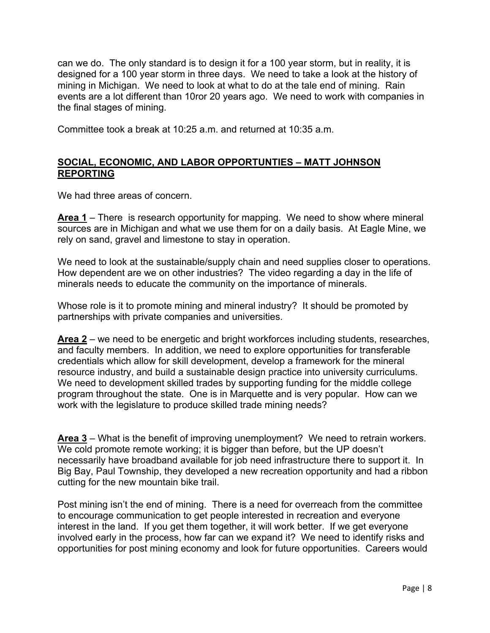can we do. The only standard is to design it for a 100 year storm, but in reality, it is designed for a 100 year storm in three days. We need to take a look at the history of mining in Michigan. We need to look at what to do at the tale end of mining. Rain events are a lot different than 10ror 20 years ago. We need to work with companies in the final stages of mining.

Committee took a break at 10:25 a.m. and returned at 10:35 a.m.

### **SOCIAL, ECONOMIC, AND LABOR OPPORTUNTIES – MATT JOHNSON REPORTING**

We had three areas of concern.

**Area 1** – There is research opportunity for mapping. We need to show where mineral sources are in Michigan and what we use them for on a daily basis. At Eagle Mine, we rely on sand, gravel and limestone to stay in operation.

We need to look at the sustainable/supply chain and need supplies closer to operations. How dependent are we on other industries? The video regarding a day in the life of minerals needs to educate the community on the importance of minerals.

Whose role is it to promote mining and mineral industry? It should be promoted by partnerships with private companies and universities.

**Area 2** – we need to be energetic and bright workforces including students, researches, and faculty members. In addition, we need to explore opportunities for transferable credentials which allow for skill development, develop a framework for the mineral resource industry, and build a sustainable design practice into university curriculums. We need to development skilled trades by supporting funding for the middle college program throughout the state. One is in Marquette and is very popular. How can we work with the legislature to produce skilled trade mining needs?

**Area 3** – What is the benefit of improving unemployment? We need to retrain workers. We cold promote remote working; it is bigger than before, but the UP doesn't necessarily have broadband available for job need infrastructure there to support it. In Big Bay, Paul Township, they developed a new recreation opportunity and had a ribbon cutting for the new mountain bike trail.

Post mining isn't the end of mining. There is a need for overreach from the committee to encourage communication to get people interested in recreation and everyone interest in the land. If you get them together, it will work better. If we get everyone involved early in the process, how far can we expand it? We need to identify risks and opportunities for post mining economy and look for future opportunities. Careers would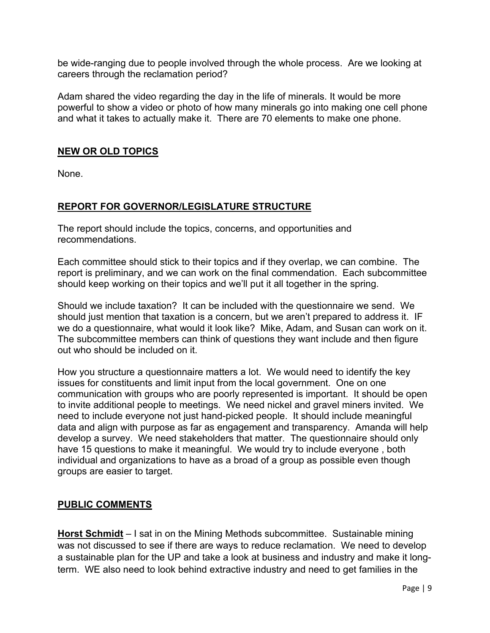be wide-ranging due to people involved through the whole process. Are we looking at careers through the reclamation period?

Adam shared the video regarding the day in the life of minerals. It would be more powerful to show a video or photo of how many minerals go into making one cell phone and what it takes to actually make it. There are 70 elements to make one phone.

# **NEW OR OLD TOPICS**

None.

# **REPORT FOR GOVERNOR/LEGISLATURE STRUCTURE**

The report should include the topics, concerns, and opportunities and recommendations.

Each committee should stick to their topics and if they overlap, we can combine. The report is preliminary, and we can work on the final commendation. Each subcommittee should keep working on their topics and we'll put it all together in the spring.

Should we include taxation? It can be included with the questionnaire we send. We should just mention that taxation is a concern, but we aren't prepared to address it. IF we do a questionnaire, what would it look like? Mike, Adam, and Susan can work on it. The subcommittee members can think of questions they want include and then figure out who should be included on it.

How you structure a questionnaire matters a lot. We would need to identify the key issues for constituents and limit input from the local government. One on one communication with groups who are poorly represented is important. It should be open to invite additional people to meetings. We need nickel and gravel miners invited. We need to include everyone not just hand-picked people. It should include meaningful data and align with purpose as far as engagement and transparency. Amanda will help develop a survey. We need stakeholders that matter. The questionnaire should only have 15 questions to make it meaningful. We would try to include everyone , both individual and organizations to have as a broad of a group as possible even though groups are easier to target.

### **PUBLIC COMMENTS**

**Horst Schmidt** – I sat in on the Mining Methods subcommittee. Sustainable mining was not discussed to see if there are ways to reduce reclamation. We need to develop a sustainable plan for the UP and take a look at business and industry and make it longterm. WE also need to look behind extractive industry and need to get families in the